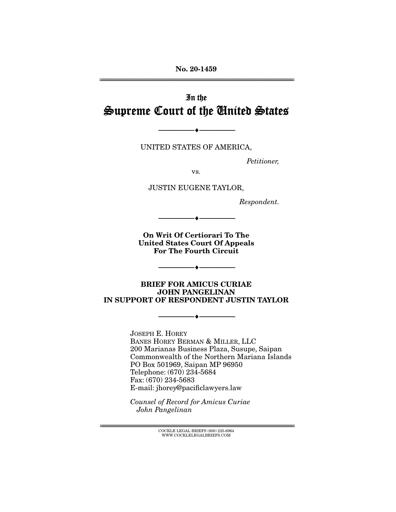**No. 20-1459**  ================================================================================================================

# In the Supreme Court of the United States

UNITED STATES OF AMERICA,

--------------------------------- ♦ ---------------------------------

Petitioner,

vs.

JUSTIN EUGENE TAYLOR,

Respondent.

**On Writ Of Certiorari To The United States Court Of Appeals For The Fourth Circuit** 

--------------------------------- ♦ ---------------------------------

--------------------------------- ♦ ---------------------------------

**BRIEF FOR AMICUS CURIAE JOHN PANGELINAN IN SUPPORT OF RESPONDENT JUSTIN TAYLOR** 

--------------------------------- ♦ ---------------------------------

JOSEPH E. HOREY BANES HOREY BERMAN & MILLER, LLC 200 Marianas Business Plaza, Susupe, Saipan Commonwealth of the Northern Mariana Islands PO Box 501969, Saipan MP 96950 Telephone: (670) 234-5684 Fax: (670) 234-5683 E-mail: jhorey@pacificlawyers.law

Counsel of Record for Amicus Curiae John Pangelinan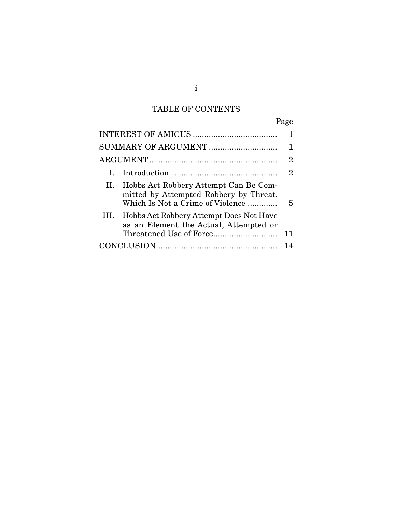## TABLE OF CONTENTS

|                                                                                                                         | Page                        |
|-------------------------------------------------------------------------------------------------------------------------|-----------------------------|
|                                                                                                                         |                             |
| SUMMARY OF ARGUMENT                                                                                                     |                             |
|                                                                                                                         | 2                           |
| L.                                                                                                                      | $\mathcal{D}_{\mathcal{L}}$ |
| II. Hobbs Act Robbery Attempt Can Be Com-<br>mitted by Attempted Robbery by Threat,<br>Which Is Not a Crime of Violence | 5                           |
| III. Hobbs Act Robbery Attempt Does Not Have<br>as an Element the Actual, Attempted or                                  |                             |
|                                                                                                                         | 11                          |
|                                                                                                                         |                             |

i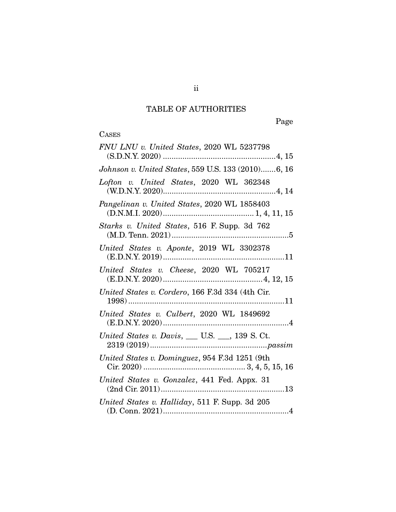## TABLE OF AUTHORITIES

Page

## **CASES**

| FNU LNU v. United States, 2020 WL 5237798          |
|----------------------------------------------------|
| Johnson v. United States, 559 U.S. 133 (2010)6, 16 |
| Lofton v. United States, 2020 WL 362348            |
| Pangelinan v. United States, 2020 WL 1858403       |
| Starks v. United States, 516 F. Supp. 3d 762       |
| United States v. Aponte, 2019 WL 3302378           |
| United States v. Cheese, 2020 WL 705217            |
| United States v. Cordero, 166 F.3d 334 (4th Cir.   |
| United States v. Culbert, 2020 WL 1849692          |
| United States v. Davis, __ U.S. __, 139 S. Ct.     |
| United States v. Dominguez, 954 F.3d 1251 (9th     |
| United States v. Gonzalez, 441 Fed. Appx. 31       |
| United States v. Halliday, 511 F. Supp. 3d 205     |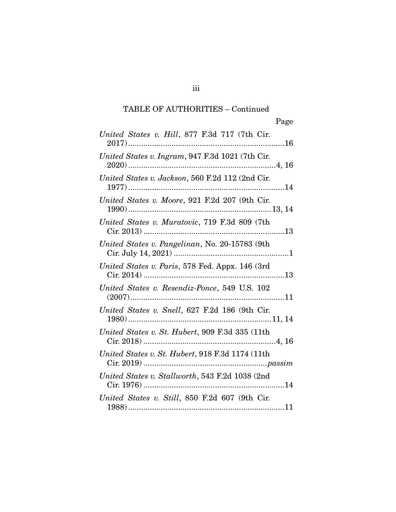## TABLE OF AUTHORITIES – Continued

| United States v. Hill, 877 F.3d 717 (7th Cir.                     |
|-------------------------------------------------------------------|
| United States v. Ingram, 947 F.3d 1021 (7th Cir.                  |
| United States v. Jackson, 560 F.2d 112 (2nd Cir.                  |
| United States v. Moore, 921 F.2d 207 (9th Cir.                    |
| United States v. Muratovic, 719 F.3d 809 (7th                     |
| United States v. Pangelinan, No. 20-15783 (9th                    |
| United States v. Paris, 578 Fed. Appx. 146 (3rd                   |
| United States v. Resendiz-Ponce, 549 U.S. 102<br>$(2007)\dots 11$ |
| United States v. Snell, 627 F.2d 186 (9th Cir.                    |
| United States v. St. Hubert, 909 F.3d 335 (11th                   |
| United States v. St. Hubert, 918 F.3d 1174 (11th                  |
| United States v. Stallworth, 543 F.2d 1038 (2nd                   |
| United States v. Still, 850 F.2d 607 (9th Cir.                    |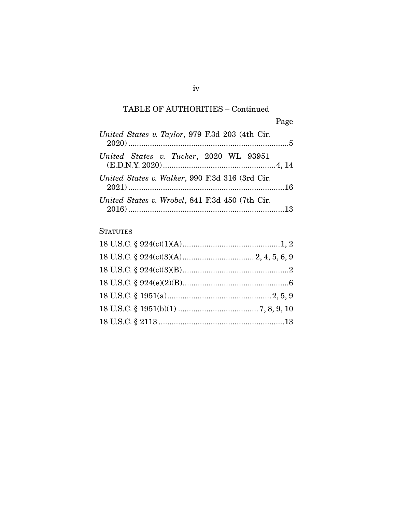## TABLE OF AUTHORITIES – Continued

| United States v. Taylor, 979 F.3d 203 (4th Cir. |  |
|-------------------------------------------------|--|
| United States v. Tucker, 2020 WL 93951          |  |
| United States v. Walker, 990 F.3d 316 (3rd Cir. |  |
| United States v. Wrobel, 841 F.3d 450 (7th Cir. |  |

### **STATUTES**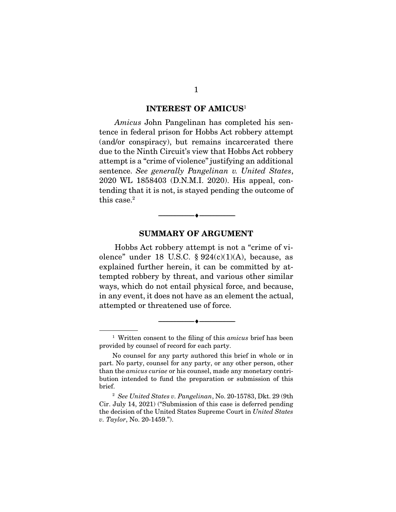#### **INTEREST OF AMICUS**<sup>1</sup>

Amicus John Pangelinan has completed his sentence in federal prison for Hobbs Act robbery attempt (and/or conspiracy), but remains incarcerated there due to the Ninth Circuit's view that Hobbs Act robbery attempt is a "crime of violence" justifying an additional sentence. See generally Pangelinan v. United States, 2020 WL 1858403 (D.N.M.I. 2020). His appeal, contending that it is not, is stayed pending the outcome of this case.<sup>2</sup>

#### **SUMMARY OF ARGUMENT**

 $\overbrace{\hspace{2.5cm}}^{\bullet}$   $\overbrace{\hspace{2.5cm}}^{\bullet}$ 

 Hobbs Act robbery attempt is not a "crime of violence" under 18 U.S.C.  $\S 924(c)(1)(A)$ , because, as explained further herein, it can be committed by attempted robbery by threat, and various other similar ways, which do not entail physical force, and because, in any event, it does not have as an element the actual, attempted or threatened use of force.

--------------------------------- ♦ ---------------------------------

<sup>&</sup>lt;sup>1</sup> Written consent to the filing of this *amicus* brief has been provided by counsel of record for each party.

No counsel for any party authored this brief in whole or in part. No party, counsel for any party, or any other person, other than the amicus curiae or his counsel, made any monetary contribution intended to fund the preparation or submission of this brief.

 $2$  See United States v. Pangelinan, No. 20-15783, Dkt. 29 (9th Cir. July 14, 2021) ("Submission of this case is deferred pending the decision of the United States Supreme Court in United States v. Taylor, No. 20-1459.").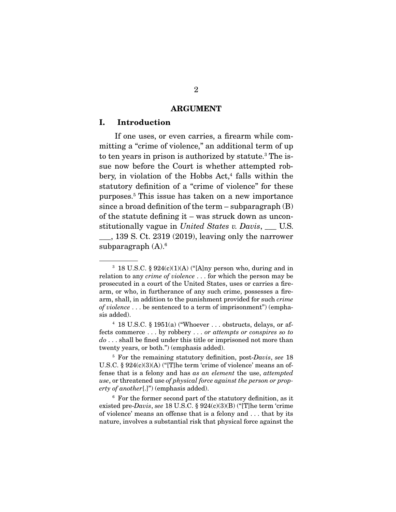#### **ARGUMENT**

#### **I. Introduction**

 If one uses, or even carries, a firearm while committing a "crime of violence," an additional term of up to ten vears in prison is authorized by statute.<sup>3</sup> The issue now before the Court is whether attempted robbery, in violation of the Hobbs Act.<sup>4</sup> falls within the statutory definition of a "crime of violence" for these purposes.5 This issue has taken on a new importance since a broad definition of the term  $-$  subparagraph  $(B)$ of the statute defining it – was struck down as unconstitutionally vague in United States v. Davis,  $\quad$  U.S. \_\_\_, 139 S. Ct. 2319 (2019), leaving only the narrower subparagraph  $(A)$ .<sup>6</sup>

<sup>&</sup>lt;sup>3</sup> 18 U.S.C. § 924(c)(1)(A) ("[A]ny person who, during and in relation to any *crime of violence* . . . for which the person may be prosecuted in a court of the United States, uses or carries a firearm, or who, in furtherance of any such crime, possesses a firearm, shall, in addition to the punishment provided for such crime of violence . . . be sentenced to a term of imprisonment") (emphasis added).

<sup>&</sup>lt;sup>4</sup> 18 U.S.C. § 1951(a) ("Whoever  $\dots$  obstructs, delays, or affects commerce . . . by robbery . . . or attempts or conspires so to  $do \ldots$  shall be fined under this title or imprisoned not more than twenty years, or both.") (emphasis added).

 $5$  For the remaining statutory definition, post-Davis, see 18 U.S.C. § 924(c)(3)(A) ("[T]he term 'crime of violence' means an offense that is a felony and has as an element the use, attempted use, or threatened use of physical force against the person or property of another[.]") (emphasis added).

 $6$  For the former second part of the statutory definition, as it existed pre-Davis, see 18 U.S.C. § 924(c)(3)(B) ("[T]he term 'crime of violence' means an offense that is a felony and . . . that by its nature, involves a substantial risk that physical force against the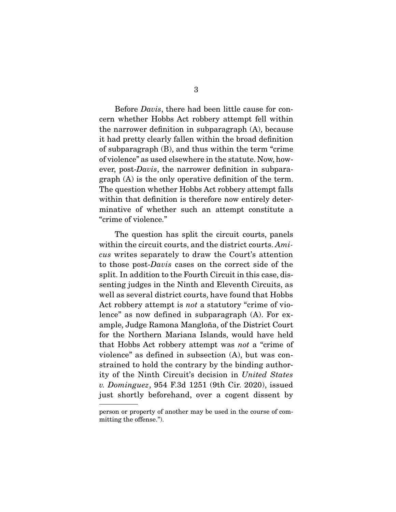Before *Davis*, there had been little cause for concern whether Hobbs Act robbery attempt fell within the narrower definition in subparagraph (A), because it had pretty clearly fallen within the broad definition of subparagraph (B), and thus within the term "crime of violence" as used elsewhere in the statute. Now, however, post-Davis, the narrower definition in subparagraph (A) is the only operative definition of the term. The question whether Hobbs Act robbery attempt falls within that definition is therefore now entirely determinative of whether such an attempt constitute a "crime of violence."

 The question has split the circuit courts, panels within the circuit courts, and the district courts. Amicus writes separately to draw the Court's attention to those post-Davis cases on the correct side of the split. In addition to the Fourth Circuit in this case, dissenting judges in the Ninth and Eleventh Circuits, as well as several district courts, have found that Hobbs Act robbery attempt is not a statutory "crime of violence" as now defined in subparagraph (A). For example, Judge Ramona Mangloña, of the District Court for the Northern Mariana Islands, would have held that Hobbs Act robbery attempt was not a "crime of violence" as defined in subsection (A), but was constrained to hold the contrary by the binding authority of the Ninth Circuit's decision in United States v. Dominguez, 954 F.3d 1251 (9th Cir. 2020), issued just shortly beforehand, over a cogent dissent by

person or property of another may be used in the course of committing the offense.").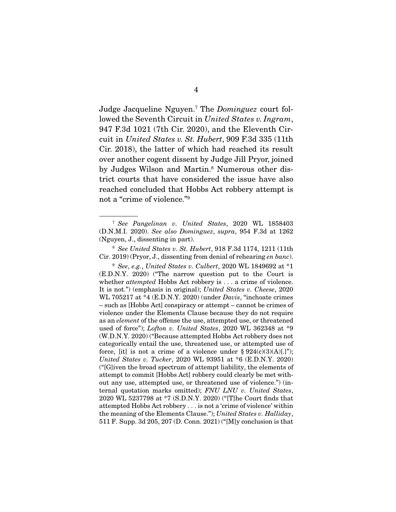Judge Jacqueline Nguyen.<sup>7</sup> The *Dominguez* court followed the Seventh Circuit in United States v. Ingram, 947 F.3d 1021 (7th Cir. 2020), and the Eleventh Circuit in United States v. St. Hubert, 909 F.3d 335 (11th Cir. 2018), the latter of which had reached its result over another cogent dissent by Judge Jill Pryor, joined by Judges Wilson and Martin.<sup>8</sup> Numerous other district courts that have considered the issue have also reached concluded that Hobbs Act robbery attempt is not a "crime of violence."9

<sup>7</sup> See Pangelinan v. United States, 2020 WL 1858403 (D.N.M.I. 2020). See also Dominguez, supra, 954 F.3d at 1262 (Nguyen, J., dissenting in part).

 $8$  See United States v. St. Hubert, 918 F.3d 1174, 1211 (11th Cir. 2019) (Pryor, J., dissenting from denial of rehearing en banc).

 $9$  See, e.g., United States v. Culbert, 2020 WL 1849692 at  $*1$ (E.D.N.Y. 2020) ("The narrow question put to the Court is whether *attempted* Hobbs Act robbery is . . . a crime of violence. It is not.") (emphasis in original); United States v. Cheese, 2020 WL 705217 at \*4 (E.D.N.Y. 2020) (under Davis, "inchoate crimes – such as [Hobbs Act] conspiracy or attempt – cannot be crimes of violence under the Elements Clause because they do not require as an element of the offense the use, attempted use, or threatened used of force"); Lofton v. United States, 2020 WL 362348 at  $*9$ (W.D.N.Y. 2020) ("Because attempted Hobbs Act robbery does not categorically entail the use, threatened use, or attempted use of force, [it] is not a crime of a violence under  $\S 924(c)(3)(A)[.]$ "); United States v. Tucker, 2020 WL 93951 at \*6 (E.D.N.Y. 2020) ("[G]iven the broad spectrum of attempt liability, the elements of attempt to commit [Hobbs Act] robbery could clearly be met without any use, attempted use, or threatened use of violence.") (internal quotation marks omitted); FNU LNU v. United States, 2020 WL 5237798 at \*7 (S.D.N.Y. 2020) ("[T]he Court finds that attempted Hobbs Act robbery . . . is not a 'crime of violence' within the meaning of the Elements Clause."); United States v. Halliday, 511 F. Supp. 3d 205, 207 (D. Conn. 2021) ("[M]y conclusion is that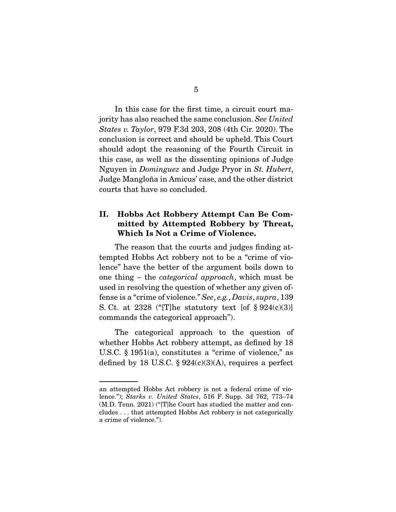In this case for the first time, a circuit court majority has also reached the same conclusion. See United States v. Taylor, 979 F.3d 203, 208 (4th Cir. 2020). The conclusion is correct and should be upheld. This Court should adopt the reasoning of the Fourth Circuit in this case, as well as the dissenting opinions of Judge Nguyen in Dominguez and Judge Pryor in St. Hubert, Judge Mangloña in Amicus' case, and the other district courts that have so concluded.

### **II. Hobbs Act Robbery Attempt Can Be Committed by Attempted Robbery by Threat, Which Is Not a Crime of Violence.**

 The reason that the courts and judges finding attempted Hobbs Act robbery not to be a "crime of violence" have the better of the argument boils down to one thing – the categorical approach, which must be used in resolving the question of whether any given offense is a "crime of violence." See, e.g., Davis, supra, 139 S. Ct. at 2328 ("[T]he statutory text [of  $\S 924(c)(3)$ ] commands the categorical approach").

 The categorical approach to the question of whether Hobbs Act robbery attempt, as defined by 18 U.S.C.  $\S$  1951(a), constitutes a "crime of violence," as defined by 18 U.S.C. §  $924(c)(3)(A)$ , requires a perfect

an attempted Hobbs Act robbery is not a federal crime of violence."); Starks v. United States, 516 F. Supp. 3d 762, 773–74 (M.D. Tenn. 2021) ("[T]he Court has studied the matter and concludes . . . that attempted Hobbs Act robbery is not categorically a crime of violence.").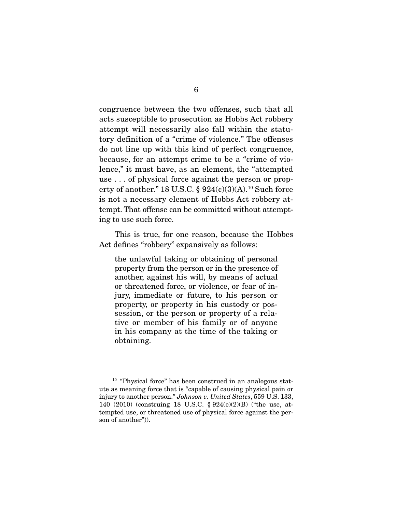congruence between the two offenses, such that all acts susceptible to prosecution as Hobbs Act robbery attempt will necessarily also fall within the statutory definition of a "crime of violence." The offenses do not line up with this kind of perfect congruence, because, for an attempt crime to be a "crime of violence," it must have, as an element, the "attempted use . . . of physical force against the person or property of another." 18 U.S.C.  $\S 924(c)(3)(A).$ <sup>10</sup> Such force is not a necessary element of Hobbs Act robbery attempt. That offense can be committed without attempting to use such force.

 This is true, for one reason, because the Hobbes Act defines "robbery" expansively as follows:

the unlawful taking or obtaining of personal property from the person or in the presence of another, against his will, by means of actual or threatened force, or violence, or fear of injury, immediate or future, to his person or property, or property in his custody or possession, or the person or property of a relative or member of his family or of anyone in his company at the time of the taking or obtaining.

<sup>&</sup>lt;sup>10</sup> "Physical force" has been construed in an analogous statute as meaning force that is "capable of causing physical pain or injury to another person." Johnson v. United States, 559 U.S. 133, 140 (2010) (construing 18 U.S.C. § 924(e)(2)(B) ("the use, attempted use, or threatened use of physical force against the person of another")).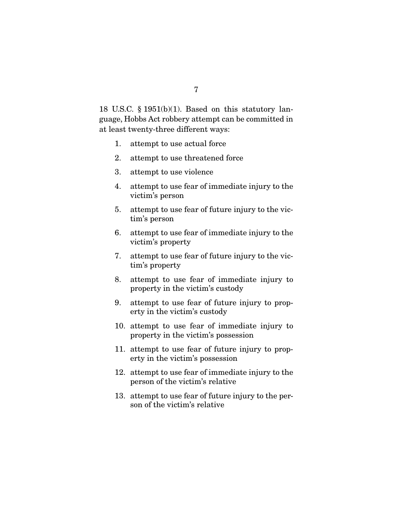18 U.S.C. § 1951(b)(1). Based on this statutory language, Hobbs Act robbery attempt can be committed in at least twenty-three different ways:

- 1. attempt to use actual force
- 2. attempt to use threatened force
- 3. attempt to use violence
- 4. attempt to use fear of immediate injury to the victim's person
- 5. attempt to use fear of future injury to the victim's person
- 6. attempt to use fear of immediate injury to the victim's property
- 7. attempt to use fear of future injury to the victim's property
- 8. attempt to use fear of immediate injury to property in the victim's custody
- 9. attempt to use fear of future injury to property in the victim's custody
- 10. attempt to use fear of immediate injury to property in the victim's possession
- 11. attempt to use fear of future injury to property in the victim's possession
- 12. attempt to use fear of immediate injury to the person of the victim's relative
- 13. attempt to use fear of future injury to the person of the victim's relative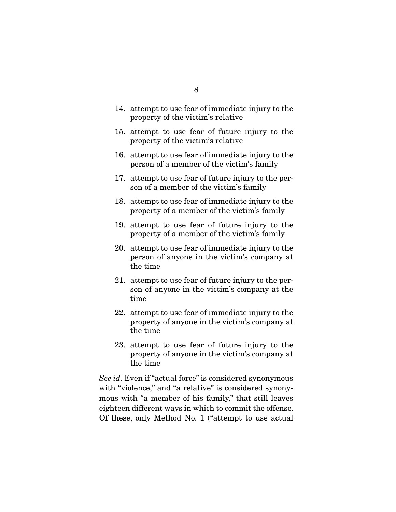- 14. attempt to use fear of immediate injury to the property of the victim's relative
	- 15. attempt to use fear of future injury to the property of the victim's relative
	- 16. attempt to use fear of immediate injury to the person of a member of the victim's family
	- 17. attempt to use fear of future injury to the person of a member of the victim's family
	- 18. attempt to use fear of immediate injury to the property of a member of the victim's family
	- 19. attempt to use fear of future injury to the property of a member of the victim's family
	- 20. attempt to use fear of immediate injury to the person of anyone in the victim's company at the time
	- 21. attempt to use fear of future injury to the person of anyone in the victim's company at the time
	- 22. attempt to use fear of immediate injury to the property of anyone in the victim's company at the time
	- 23. attempt to use fear of future injury to the property of anyone in the victim's company at the time

See id. Even if "actual force" is considered synonymous with "violence," and "a relative" is considered synonymous with "a member of his family," that still leaves eighteen different ways in which to commit the offense. Of these, only Method No. 1 ("attempt to use actual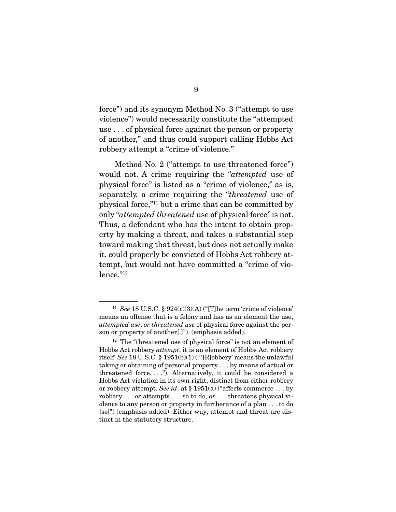force") and its synonym Method No. 3 ("attempt to use violence") would necessarily constitute the "attempted use . . . of physical force against the person or property of another," and thus could support calling Hobbs Act robbery attempt a "crime of violence."

 Method No. 2 ("attempt to use threatened force") would not. A crime requiring the "attempted use of physical force" is listed as a "crime of violence," as is, separately, a crime requiring the "threatened use of physical force,"11 but a crime that can be committed by only "attempted threatened use of physical force" is not. Thus, a defendant who has the intent to obtain property by making a threat, and takes a substantial step toward making that threat, but does not actually make it, could properly be convicted of Hobbs Act robbery attempt, but would not have committed a "crime of violence."12

<sup>&</sup>lt;sup>11</sup> See 18 U.S.C. § 924(c)(3)(A) ("[T]he term 'crime of violence' means an offense that is a felony and has as an element the use, attempted use, or threatened use of physical force against the person or property of another[.]"). (emphasis added).

 $12$  The "threatened use of physical force" is not an element of Hobbs Act robbery attempt, it is an element of Hobbs Act robbery itself. See 18 U.S.C. § 1951(b)(1) (" '[R]obbery' means the unlawful taking or obtaining of personal property . . . by means of actual or threatened force. . . ."). Alternatively, it could be considered a Hobbs Act violation in its own right, distinct from either robbery or robbery attempt. See id. at  $\S 1951(a)$  ("affects commerce ... by robbery . . . or attempts . . . so to do, or . . . threatens physical violence to any person or property in furtherance of a plan . . . to do [so]") (emphasis added). Either way, attempt and threat are distinct in the statutory structure.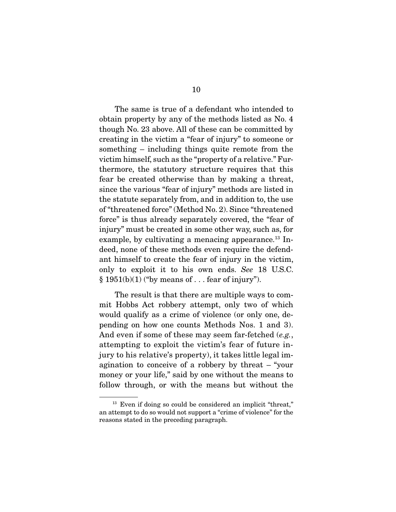The same is true of a defendant who intended to obtain property by any of the methods listed as No. 4 though No. 23 above. All of these can be committed by creating in the victim a "fear of injury" to someone or something – including things quite remote from the victim himself, such as the "property of a relative." Furthermore, the statutory structure requires that this fear be created otherwise than by making a threat, since the various "fear of injury" methods are listed in the statute separately from, and in addition to, the use of "threatened force" (Method No. 2). Since "threatened force" is thus already separately covered, the "fear of injury" must be created in some other way, such as, for example, by cultivating a menacing appearance.<sup>13</sup> Indeed, none of these methods even require the defendant himself to create the fear of injury in the victim, only to exploit it to his own ends. See 18 U.S.C.  $§ 1951(b)(1)$  ("by means of ... fear of injury").

 The result is that there are multiple ways to commit Hobbs Act robbery attempt, only two of which would qualify as a crime of violence (or only one, depending on how one counts Methods Nos. 1 and 3). And even if some of these may seem far-fetched (e.g., attempting to exploit the victim's fear of future injury to his relative's property), it takes little legal imagination to conceive of a robbery by threat – "your money or your life," said by one without the means to follow through, or with the means but without the

<sup>&</sup>lt;sup>13</sup> Even if doing so could be considered an implicit "threat," an attempt to do so would not support a "crime of violence" for the reasons stated in the preceding paragraph.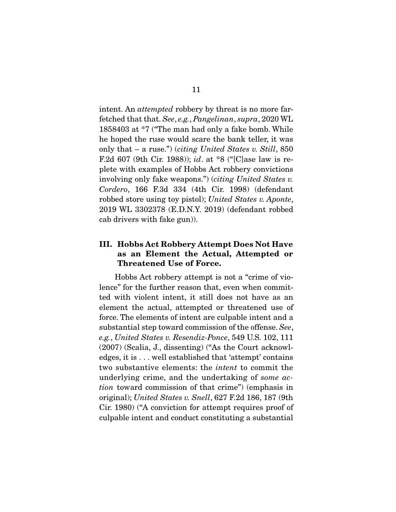intent. An *attempted* robbery by threat is no more farfetched that that. See, e.g., Pangelinan, supra, 2020 WL 1858403 at \*7 ("The man had only a fake bomb. While he hoped the ruse would scare the bank teller, it was only that  $-$  a ruse.") (*citing United States v. Still*, 850 F.2d 607 (9th Cir. 1988)); id. at  $*8$  ("[C]ase law is replete with examples of Hobbs Act robbery convictions involving only fake weapons.") (citing United States v. Cordero, 166 F.3d 334 (4th Cir. 1998) (defendant robbed store using toy pistol); United States v. Aponte, 2019 WL 3302378 (E.D.N.Y. 2019) (defendant robbed cab drivers with fake gun)).

### **III. Hobbs Act Robbery Attempt Does Not Have as an Element the Actual, Attempted or Threatened Use of Force.**

 Hobbs Act robbery attempt is not a "crime of violence" for the further reason that, even when committed with violent intent, it still does not have as an element the actual, attempted or threatened use of force. The elements of intent are culpable intent and a substantial step toward commission of the offense. See, e.g., United States v. Resendiz-Ponce, 549 U.S. 102, 111 (2007) (Scalia, J., dissenting) ("As the Court acknowledges, it is . . . well established that 'attempt' contains two substantive elements: the intent to commit the underlying crime, and the undertaking of some action toward commission of that crime") (emphasis in original); United States v. Snell, 627 F.2d 186, 187 (9th Cir. 1980) ("A conviction for attempt requires proof of culpable intent and conduct constituting a substantial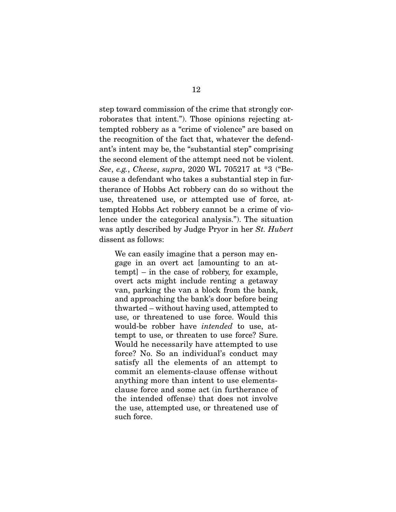step toward commission of the crime that strongly corroborates that intent."). Those opinions rejecting attempted robbery as a "crime of violence" are based on the recognition of the fact that, whatever the defendant's intent may be, the "substantial step" comprising the second element of the attempt need not be violent. See, e.g., Cheese, supra, 2020 WL 705217 at \*3 ("Because a defendant who takes a substantial step in furtherance of Hobbs Act robbery can do so without the use, threatened use, or attempted use of force, attempted Hobbs Act robbery cannot be a crime of violence under the categorical analysis."). The situation was aptly described by Judge Pryor in her St. Hubert dissent as follows:

We can easily imagine that a person may engage in an overt act [amounting to an attempt] – in the case of robbery, for example, overt acts might include renting a getaway van, parking the van a block from the bank, and approaching the bank's door before being thwarted – without having used, attempted to use, or threatened to use force. Would this would-be robber have intended to use, attempt to use, or threaten to use force? Sure. Would he necessarily have attempted to use force? No. So an individual's conduct may satisfy all the elements of an attempt to commit an elements-clause offense without anything more than intent to use elementsclause force and some act (in furtherance of the intended offense) that does not involve the use, attempted use, or threatened use of such force.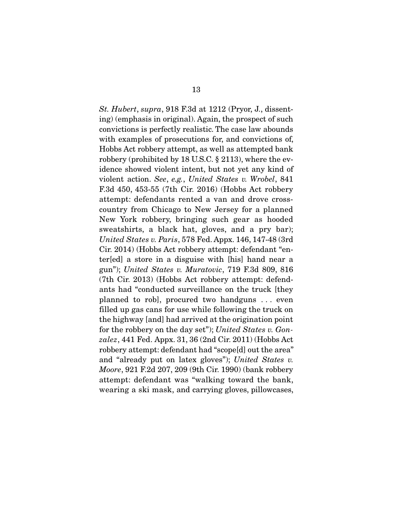St. Hubert, supra, 918 F.3d at 1212 (Pryor, J., dissenting) (emphasis in original). Again, the prospect of such convictions is perfectly realistic. The case law abounds with examples of prosecutions for, and convictions of, Hobbs Act robbery attempt, as well as attempted bank robbery (prohibited by 18 U.S.C. § 2113), where the evidence showed violent intent, but not yet any kind of violent action. See, e.g., United States v. Wrobel, 841 F.3d 450, 453-55 (7th Cir. 2016) (Hobbs Act robbery attempt: defendants rented a van and drove crosscountry from Chicago to New Jersey for a planned New York robbery, bringing such gear as hooded sweatshirts, a black hat, gloves, and a pry bar); United States v. Paris, 578 Fed. Appx. 146, 147-48 (3rd Cir. 2014) (Hobbs Act robbery attempt: defendant "enter[ed] a store in a disguise with [his] hand near a gun"); United States v. Muratovic, 719 F.3d 809, 816 (7th Cir. 2013) (Hobbs Act robbery attempt: defendants had "conducted surveillance on the truck [they planned to rob], procured two handguns . . . even filled up gas cans for use while following the truck on the highway [and] had arrived at the origination point for the robbery on the day set"); United States v. Gon $zalez$ , 441 Fed. Appx. 31, 36 (2nd Cir. 2011) (Hobbs Act robbery attempt: defendant had "scope[d] out the area" and "already put on latex gloves"); United States v. Moore, 921 F.2d 207, 209 (9th Cir. 1990) (bank robbery attempt: defendant was "walking toward the bank, wearing a ski mask, and carrying gloves, pillowcases,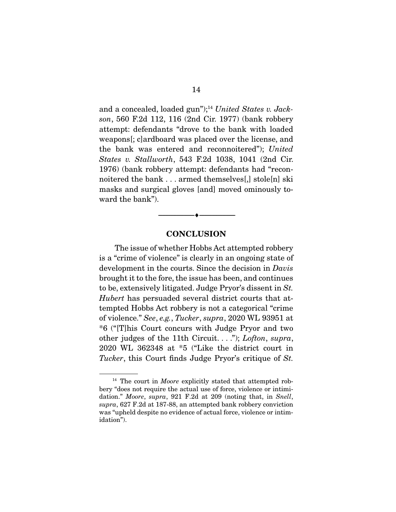and a concealed, loaded gun");<sup>14</sup> United States v. Jackson, 560 F.2d 112, 116 (2nd Cir. 1977) (bank robbery attempt: defendants "drove to the bank with loaded weapons[; c]ardboard was placed over the license, and the bank was entered and reconnoitered"); United States v. Stallworth, 543 F.2d 1038, 1041 (2nd Cir. 1976) (bank robbery attempt: defendants had "reconnoitered the bank . . . armed themselves[,] stole[n] ski masks and surgical gloves [and] moved ominously toward the bank").

#### **CONCLUSION**

 $\overbrace{\hspace{2.5cm}}^{\bullet}$   $\overbrace{\hspace{2.5cm}}^{\bullet}$ 

 The issue of whether Hobbs Act attempted robbery is a "crime of violence" is clearly in an ongoing state of development in the courts. Since the decision in Davis brought it to the fore, the issue has been, and continues to be, extensively litigated. Judge Pryor's dissent in St. Hubert has persuaded several district courts that attempted Hobbs Act robbery is not a categorical "crime of violence." See, e.g., Tucker, supra, 2020 WL 93951 at \*6 ("[T]his Court concurs with Judge Pryor and two other judges of the 11th Circuit.  $\ldots$ "); *Lofton*, *supra*, 2020 WL 362348 at \*5 ("Like the district court in Tucker, this Court finds Judge Pryor's critique of St.

 $14$  The court in *Moore* explicitly stated that attempted robbery "does not require the actual use of force, violence or intimidation." Moore, supra, 921 F.2d at 209 (noting that, in Snell, supra, 627 F.2d at 187-88, an attempted bank robbery conviction was "upheld despite no evidence of actual force, violence or intimidation").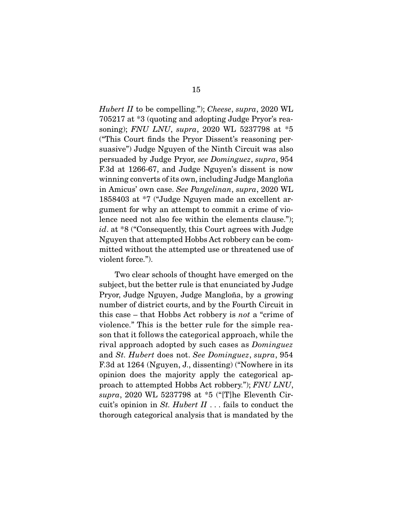Hubert II to be compelling."); Cheese, supra, 2020 WL 705217 at \*3 (quoting and adopting Judge Pryor's reasoning); FNU LNU, supra, 2020 WL 5237798 at \*5 ("This Court finds the Pryor Dissent's reasoning persuasive") Judge Nguyen of the Ninth Circuit was also persuaded by Judge Pryor, see Dominguez, supra, 954 F.3d at 1266-67, and Judge Nguyen's dissent is now winning converts of its own, including Judge Mangloña in Amicus' own case. See Pangelinan, supra, 2020 WL 1858403 at \*7 ("Judge Nguyen made an excellent argument for why an attempt to commit a crime of violence need not also fee within the elements clause."); id. at \*8 ("Consequently, this Court agrees with Judge Nguyen that attempted Hobbs Act robbery can be committed without the attempted use or threatened use of violent force.").

 Two clear schools of thought have emerged on the subject, but the better rule is that enunciated by Judge Pryor, Judge Nguyen, Judge Mangloña, by a growing number of district courts, and by the Fourth Circuit in this case – that Hobbs Act robbery is not a "crime of violence." This is the better rule for the simple reason that it follows the categorical approach, while the rival approach adopted by such cases as Dominguez and St. Hubert does not. See Dominguez, supra, 954 F.3d at 1264 (Nguyen, J., dissenting) ("Nowhere in its opinion does the majority apply the categorical approach to attempted Hobbs Act robbery."); FNU LNU, supra, 2020 WL 5237798 at \*5 ("[T]he Eleventh Circuit's opinion in St. Hubert  $II$ ... fails to conduct the thorough categorical analysis that is mandated by the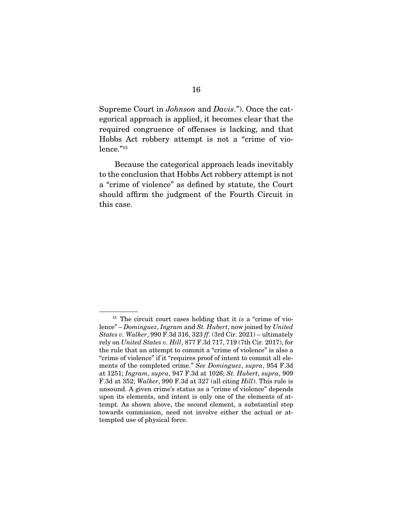Supreme Court in Johnson and Davis."). Once the categorical approach is applied, it becomes clear that the required congruence of offenses is lacking, and that Hobbs Act robbery attempt is not a "crime of violence."<sup>15</sup>

 Because the categorical approach leads inevitably to the conclusion that Hobbs Act robbery attempt is not a "crime of violence" as defined by statute, the Court should affirm the judgment of the Fourth Circuit in this case.

 $15$  The circuit court cases holding that it is a "crime of violence" – Dominguez, Ingram and St. Hubert, now joined by United States v. Walker, 990 F.3d 316, 323 ff. (3rd Cir. 2021) – ultimately rely on United States v. Hill, 877 F.3d 717, 719 (7th Cir. 2017), for the rule that an attempt to commit a "crime of violence" is also a "crime of violence" if it "requires proof of intent to commit all elements of the completed crime." See Dominguez, supra, 954 F.3d at 1251; Ingram, supra, 947 F.3d at 1026; St. Hubert, supra, 909 F.3d at 352; Walker, 990 F.3d at 327 (all citing Hill). This rule is unsound. A given crime's status as a "crime of violence" depends upon its elements, and intent is only one of the elements of attempt. As shown above, the second element, a substantial step towards commission, need not involve either the actual or attempted use of physical force.